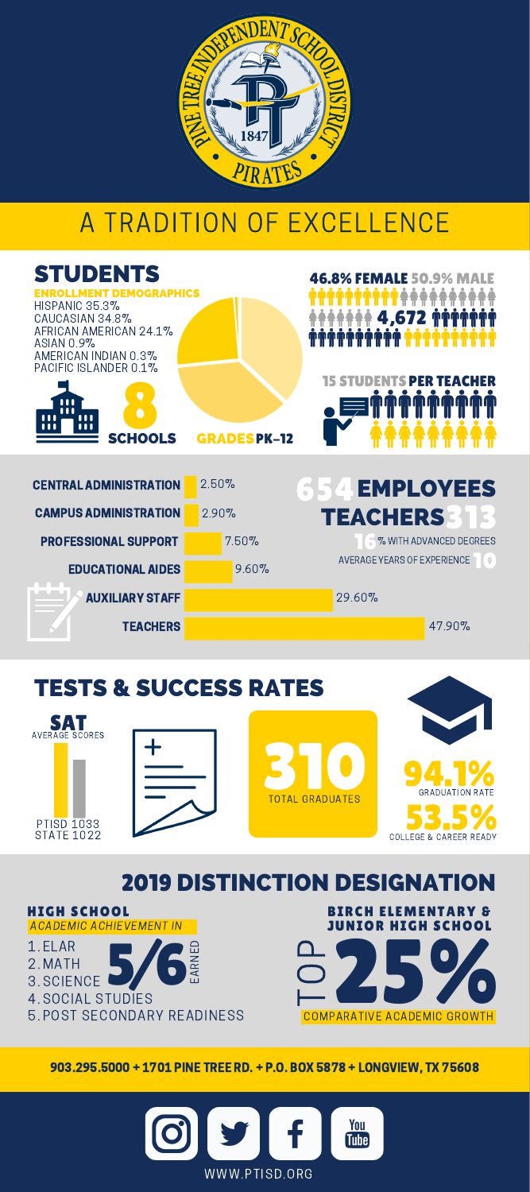

## A TRADITION OF EXCELLENCE

| <b>STUDENTS</b><br><b>LLMENT DEMOGRAPHICS</b><br><b>HISPANIC 35.3%</b><br>CAUCASIAN 34.8%<br>AFRICAN AMERICAN 24.1%<br>ASIAN 0.9%<br>AMERICAN INDIAN 0.3%<br>PACIFIC ISLANDER 0.1%<br>ш<br>'''<br>ш<br>ш<br><b>SCHOOLS</b> | <b>GRADESPK-12</b> | <b>46.8% FEMALE 50.9% MALE</b><br>4,672 <sup>#</sup><br><b>15 STUDENTS PER TEACHER</b> |
|----------------------------------------------------------------------------------------------------------------------------------------------------------------------------------------------------------------------------|--------------------|----------------------------------------------------------------------------------------|
| <b>CENTRAL ADMINISTRATION</b>                                                                                                                                                                                              | 2.50%              | <b>EMPLOYEES</b>                                                                       |
| <b>CAMPUS ADMINISTRATION</b>                                                                                                                                                                                               | 2.90%              | <b>TEACHERS</b>                                                                        |
| <b>PROFESSIONAL SUPPORT</b>                                                                                                                                                                                                | 7.50%              | % WITH ADVANCED DEGREES                                                                |
| <b>EDUCATIONAL AIDES</b>                                                                                                                                                                                                   | 9.60%              | AVERAGE YEARS OF EXPERIENCE<br>$\blacksquare$                                          |
| <b>AUXILIARY STAFF</b>                                                                                                                                                                                                     |                    | 29.60%                                                                                 |
| <b>TEACHERS</b>                                                                                                                                                                                                            |                    | 47.90%                                                                                 |
|                                                                                                                                                                                                                            |                    |                                                                                        |



2019 DISTINCTION DESIGNATION





903.295.5000 + 1701 PINE TREE RD. + P.O. BOX 5878 + LONGVIEW, TX 75608